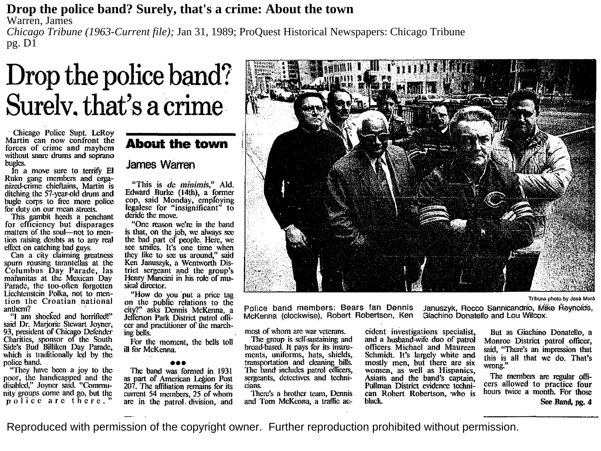### **Drop the police band? Surely, that's a crime: About the town**

Warren, James

*Chicago Tribune (1963-Current file);* Jan 31, 1989; ProQuest Historical Newspapers: Chicago Tribune pg. D1

# **Drop the police band? Surelv. that's a crime**

Chicago Police Supt. LeRoy Martin can now confront the<br>forces of crime and mayhem without snare drums and soprano bugles.

In a move sure to terrify El nized-crime chieftains, Martin is ditching the 57-year-old drum and bugle corps to free more police<br>for duty on our mean streets.<br>This gambit heeds a penchant

for efficiency but disparages<br>matters of the soul—not to mention raising doubts as to any realeffect on catching bad guys.

Can a city claiming greatness<br>spurn rousing tarantellas at the Columbus Day Parade, las<br>mañanitas at the Mexican Day Parade, the too-often forgotten<br>Liechtenstein Polka, not to men-<br>tion the Croatian national<br>anthem?

"I am shocked and horrified!" said Dr. Marjorie Stewart Joyner, 93, president of Chicago Defender Charities, sponsor of the South Side's Bud Billikcn Day Parade, which is traditionally led by the police band.

"They have been a joy to the poor, the handicapped and the disabled," .Joyner said. "Community groups come and go, but the police arc there."

## **About the town**

### **James Warren**

"This is de *minimis,"* Aid. Edward Burke (14th), a former legalese for "insignificant" to deride the move.

"One reason we're in the band<br>is that, on the job, we always see the bad part of people. Here, we see smiles. It's one time when they like to sec us around," said Ken Januszyk, a Wentworth District sergeant and the group's Henry Mancini in his role of musical director.<br>
"How do you put a price tag

on the public relations to the city?" asks Dennis McKenna, a Jefferson Park District patrol offi-<br>cer and practitioner of the marching bells.

For the moment, the bells toll ill for MeKenna.

•• The band was formed in 1931 as part of American Legion Post 207. The affiliation remains for its<br>current 54 members, 25 of whom arc in the patrol. division, and



Police band members: Bears fan Dennis McKenna (clockwise), Robert Robertson, Ken

most of whom are war veterans.

The group is self-sustaining and broad-based. It pays for its instruments, uniforms, hats, shields, transportation and cleaning bills. The band includes patrol officers, sergeants, detectives and technicians.

There's a brother team, Dennis and Tom McKcnna, a traffic accidcnt investigations specialist, and a husband-wife duo of patrol officers Michael and Maureen Schmidt. It's largely white and mostly men, but there are six women, as well as Hispanics,<br>Asians and the band's captain, Pullman District evidence techni-<br>can Robert Robertson, who is black.

**Tribune photo by Jos6 Mor6** 

Januszyk, Rocco Sannicandrio, Mike Reynolds, Giachino Donatello and Lou Wilcox.

But as Giachino Donatello, a Monroe District patrol officer, said, "There's an impression that this is all that we do. That's wrong."

The members are regular offi- cers allowed to practice four hours twice a month. For those

See Band, pg. **4** 

Reproduced with permission of the copyright owner. Further reproduction prohibited without permission.